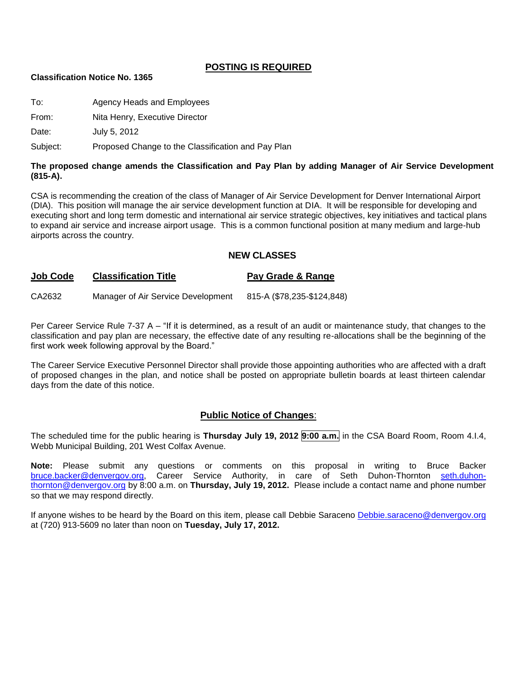#### **POSTING IS REQUIRED**

#### **Classification Notice No. 1365**

To: Agency Heads and Employees

From: Nita Henry, Executive Director

Date: July 5, 2012

Subject: Proposed Change to the Classification and Pay Plan

#### **The proposed change amends the Classification and Pay Plan by adding Manager of Air Service Development (815-A).**

CSA is recommending the creation of the class of Manager of Air Service Development for Denver International Airport (DIA). This position will manage the air service development function at DIA. It will be responsible for developing and executing short and long term domestic and international air service strategic objectives, key initiatives and tactical plans to expand air service and increase airport usage. This is a common functional position at many medium and large-hub airports across the country.

#### **NEW CLASSES**

#### **Job Code Classification Title Pay Grade & Range**

CA2632 Manager of Air Service Development 815-A (\$78,235-\$124,848)

Per Career Service Rule 7-37 A – "If it is determined, as a result of an audit or maintenance study, that changes to the classification and pay plan are necessary, the effective date of any resulting re-allocations shall be the beginning of the first work week following approval by the Board."

The Career Service Executive Personnel Director shall provide those appointing authorities who are affected with a draft of proposed changes in the plan, and notice shall be posted on appropriate bulletin boards at least thirteen calendar days from the date of this notice.

#### **Public Notice of Changes**:

The scheduled time for the public hearing is **Thursday July 19, 2012 9:00 a.m.** in the CSA Board Room, Room 4.I.4, Webb Municipal Building, 201 West Colfax Avenue.

Note: Please submit any questions or comments on this proposal in writing to Bruce Backer<br> **bruce.backer@denvergov.org**, Career Service Authority, in care of Seth Duhon-Thornton seth.duhonCareer Service Authority, in care of Seth Duhon-Thornton [seth.duhon](mailto:seth.duhon-thornton@denvergov.org)[thornton@denvergov.org](mailto:seth.duhon-thornton@denvergov.org) by 8:00 a.m. on **Thursday, July 19, 2012.** Please include a contact name and phone number so that we may respond directly.

If anyone wishes to be heard by the Board on this item, please call Debbie Saraceno [Debbie.saraceno@denvergov.org](mailto:Debbie.saraceno@denvergov.org) at (720) 913-5609 no later than noon on **Tuesday, July 17, 2012.**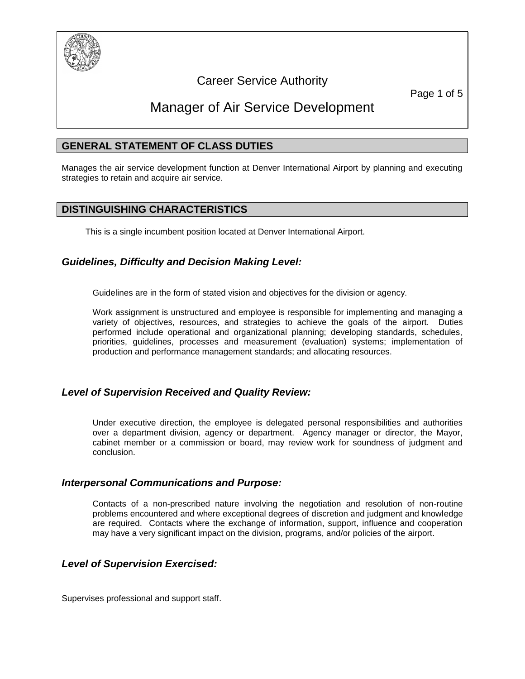

# Career Service Authority

Page 1 of 5

# Manager of Air Service Development

# **GENERAL STATEMENT OF CLASS DUTIES**

Manages the air service development function at Denver International Airport by planning and executing strategies to retain and acquire air service.

# **DISTINGUISHING CHARACTERISTICS**

This is a single incumbent position located at Denver International Airport.

# *Guidelines, Difficulty and Decision Making Level:*

Guidelines are in the form of stated vision and objectives for the division or agency.

Work assignment is unstructured and employee is responsible for implementing and managing a variety of objectives, resources, and strategies to achieve the goals of the airport. Duties performed include operational and organizational planning; developing standards, schedules, priorities, guidelines, processes and measurement (evaluation) systems; implementation of production and performance management standards; and allocating resources.

#### *Level of Supervision Received and Quality Review:*

Under executive direction, the employee is delegated personal responsibilities and authorities over a department division, agency or department. Agency manager or director, the Mayor, cabinet member or a commission or board, may review work for soundness of judgment and conclusion.

#### *Interpersonal Communications and Purpose:*

Contacts of a non-prescribed nature involving the negotiation and resolution of non-routine problems encountered and where exceptional degrees of discretion and judgment and knowledge are required. Contacts where the exchange of information, support, influence and cooperation may have a very significant impact on the division, programs, and/or policies of the airport.

#### *Level of Supervision Exercised:*

Supervises professional and support staff.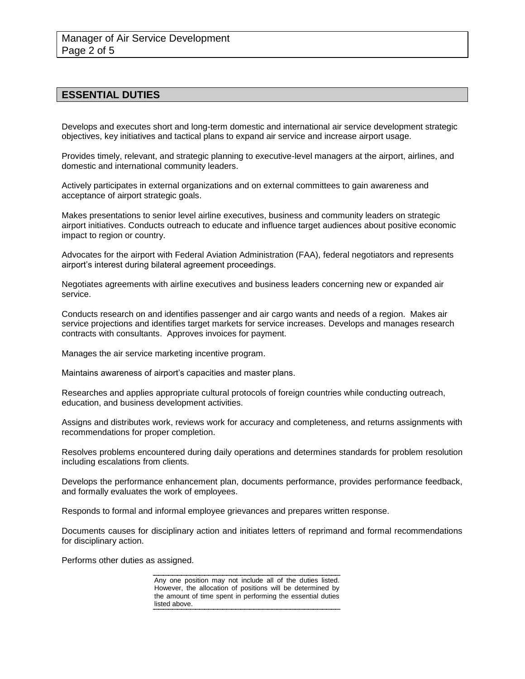# **ESSENTIAL DUTIES**

Develops and executes short and long-term domestic and international air service development strategic objectives, key initiatives and tactical plans to expand air service and increase airport usage.

Provides timely, relevant, and strategic planning to executive-level managers at the airport, airlines, and domestic and international community leaders.

Actively participates in external organizations and on external committees to gain awareness and acceptance of airport strategic goals.

Makes presentations to senior level airline executives, business and community leaders on strategic airport initiatives. Conducts outreach to educate and influence target audiences about positive economic impact to region or country.

Advocates for the airport with Federal Aviation Administration (FAA), federal negotiators and represents airport's interest during bilateral agreement proceedings.

Negotiates agreements with airline executives and business leaders concerning new or expanded air service.

Conducts research on and identifies passenger and air cargo wants and needs of a region. Makes air service projections and identifies target markets for service increases. Develops and manages research contracts with consultants. Approves invoices for payment.

Manages the air service marketing incentive program.

Maintains awareness of airport's capacities and master plans.

Researches and applies appropriate cultural protocols of foreign countries while conducting outreach, education, and business development activities.

Assigns and distributes work, reviews work for accuracy and completeness, and returns assignments with recommendations for proper completion.

Resolves problems encountered during daily operations and determines standards for problem resolution including escalations from clients.

Develops the performance enhancement plan, documents performance, provides performance feedback, and formally evaluates the work of employees.

Responds to formal and informal employee grievances and prepares written response.

Documents causes for disciplinary action and initiates letters of reprimand and formal recommendations for disciplinary action.

Performs other duties as assigned.

Any one position may not include all of the duties listed. However, the allocation of positions will be determined by the amount of time spent in performing the essential duties listed above.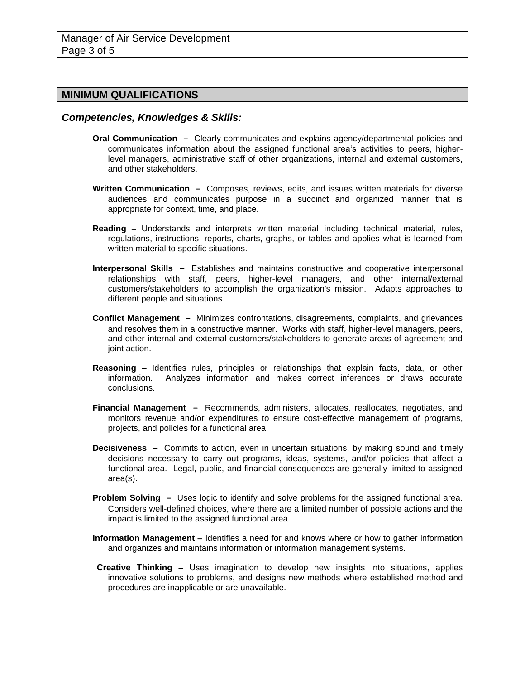#### **MINIMUM QUALIFICATIONS**

#### *Competencies, Knowledges & Skills:*

- **Oral Communication –** Clearly communicates and explains agency/departmental policies and communicates information about the assigned functional area's activities to peers, higherlevel managers, administrative staff of other organizations, internal and external customers, and other stakeholders.
- **Written Communication –** Composes, reviews, edits, and issues written materials for diverse audiences and communicates purpose in a succinct and organized manner that is appropriate for context, time, and place.
- **Reading –** Understands and interprets written material including technical material, rules, regulations, instructions, reports, charts, graphs, or tables and applies what is learned from written material to specific situations.
- **Interpersonal Skills –** Establishes and maintains constructive and cooperative interpersonal relationships with staff, peers, higher-level managers, and other internal/external customers/stakeholders to accomplish the organization's mission. Adapts approaches to different people and situations.
- **Conflict Management –** Minimizes confrontations, disagreements, complaints, and grievances and resolves them in a constructive manner. Works with staff, higher-level managers, peers, and other internal and external customers/stakeholders to generate areas of agreement and joint action.
- **Reasoning –** Identifies rules, principles or relationships that explain facts, data, or other information. Analyzes information and makes correct inferences or draws accurate conclusions.
- **Financial Management –** Recommends, administers, allocates, reallocates, negotiates, and monitors revenue and/or expenditures to ensure cost-effective management of programs, projects, and policies for a functional area.
- **Decisiveness –** Commits to action, even in uncertain situations, by making sound and timely decisions necessary to carry out programs, ideas, systems, and/or policies that affect a functional area. Legal, public, and financial consequences are generally limited to assigned area(s).
- **Problem Solving –** Uses logic to identify and solve problems for the assigned functional area. Considers well-defined choices, where there are a limited number of possible actions and the impact is limited to the assigned functional area.
- **Information Management –** Identifies a need for and knows where or how to gather information and organizes and maintains information or information management systems.
- **Creative Thinking –** Uses imagination to develop new insights into situations, applies innovative solutions to problems, and designs new methods where established method and procedures are inapplicable or are unavailable.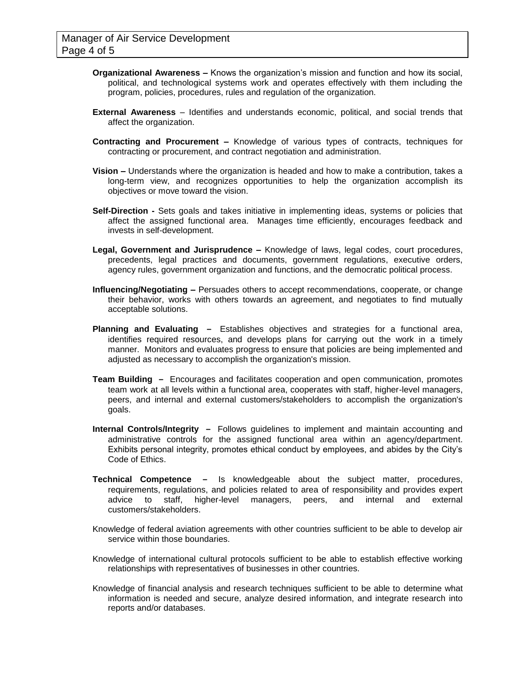- **Organizational Awareness –** Knows the organization's mission and function and how its social, political, and technological systems work and operates effectively with them including the program, policies, procedures, rules and regulation of the organization.
- **External Awareness** Identifies and understands economic, political, and social trends that affect the organization.
- **Contracting and Procurement –** Knowledge of various types of contracts, techniques for contracting or procurement, and contract negotiation and administration.
- **Vision –** Understands where the organization is headed and how to make a contribution, takes a long-term view, and recognizes opportunities to help the organization accomplish its objectives or move toward the vision.
- **Self-Direction -** Sets goals and takes initiative in implementing ideas, systems or policies that affect the assigned functional area. Manages time efficiently, encourages feedback and invests in self-development.
- **Legal, Government and Jurisprudence –** Knowledge of laws, legal codes, court procedures, precedents, legal practices and documents, government regulations, executive orders, agency rules, government organization and functions, and the democratic political process.
- **Influencing/Negotiating –** Persuades others to accept recommendations, cooperate, or change their behavior, works with others towards an agreement, and negotiates to find mutually acceptable solutions.
- **Planning and Evaluating –** Establishes objectives and strategies for a functional area, identifies required resources, and develops plans for carrying out the work in a timely manner. Monitors and evaluates progress to ensure that policies are being implemented and adjusted as necessary to accomplish the organization's mission.
- **Team Building –** Encourages and facilitates cooperation and open communication, promotes team work at all levels within a functional area, cooperates with staff, higher-level managers, peers, and internal and external customers/stakeholders to accomplish the organization's goals.
- **Internal Controls/Integrity –** Follows guidelines to implement and maintain accounting and administrative controls for the assigned functional area within an agency/department. Exhibits personal integrity, promotes ethical conduct by employees, and abides by the City's Code of Ethics.
- **Technical Competence –** Is knowledgeable about the subject matter, procedures, requirements, regulations, and policies related to area of responsibility and provides expert advice to staff, higher-level managers, peers, and internal and external customers/stakeholders.
- Knowledge of federal aviation agreements with other countries sufficient to be able to develop air service within those boundaries.
- Knowledge of international cultural protocols sufficient to be able to establish effective working relationships with representatives of businesses in other countries.
- Knowledge of financial analysis and research techniques sufficient to be able to determine what information is needed and secure, analyze desired information, and integrate research into reports and/or databases.